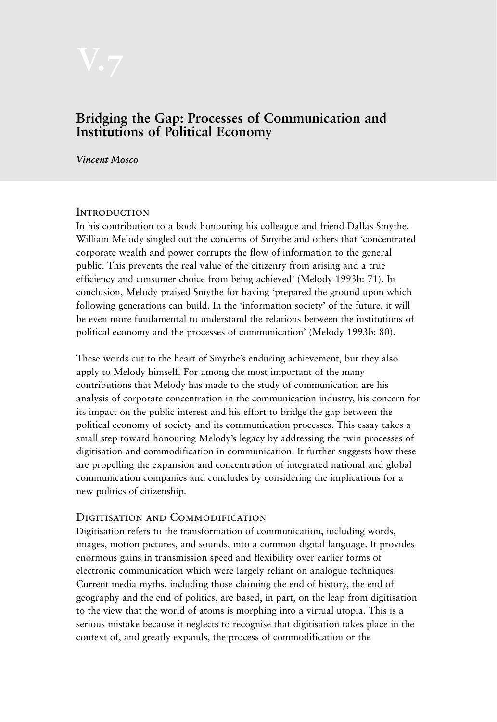# **Bridging the Gap: Processes of Communication and Institutions of Political Economy**

*Vincent Mosco*

#### **INTRODUCTION**

In his contribution to a book honouring his colleague and friend Dallas Smythe, William Melody singled out the concerns of Smythe and others that 'concentrated corporate wealth and power corrupts the flow of information to the general public. This prevents the real value of the citizenry from arising and a true efficiency and consumer choice from being achieved' (Melody 1993b: 71). In conclusion, Melody praised Smythe for having 'prepared the ground upon which following generations can build. In the 'information society' of the future, it will be even more fundamental to understand the relations between the institutions of political economy and the processes of communication' (Melody 1993b: 80).

These words cut to the heart of Smythe's enduring achievement, but they also apply to Melody himself. For among the most important of the many contributions that Melody has made to the study of communication are his analysis of corporate concentration in the communication industry, his concern for its impact on the public interest and his effort to bridge the gap between the political economy of society and its communication processes. This essay takes a small step toward honouring Melody's legacy by addressing the twin processes of digitisation and commodification in communication. It further suggests how these are propelling the expansion and concentration of integrated national and global communication companies and concludes by considering the implications for a new politics of citizenship.

#### DIGITISATION AND COMMODIFICATION

Digitisation refers to the transformation of communication, including words, images, motion pictures, and sounds, into a common digital language. It provides enormous gains in transmission speed and flexibility over earlier forms of electronic communication which were largely reliant on analogue techniques. Current media myths, including those claiming the end of history, the end of geography and the end of politics, are based, in part, on the leap from digitisation to the view that the world of atoms is morphing into a virtual utopia. This is a serious mistake because it neglects to recognise that digitisation takes place in the context of, and greatly expands, the process of commodification or the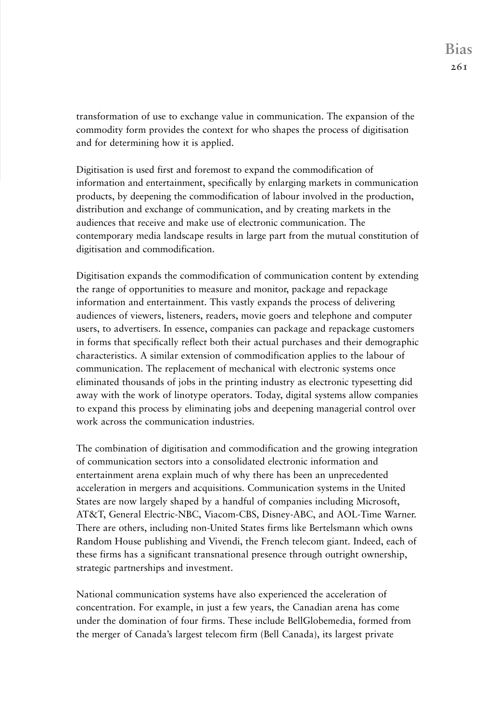transformation of use to exchange value in communication. The expansion of the commodity form provides the context for who shapes the process of digitisation and for determining how it is applied.

Digitisation is used first and foremost to expand the commodification of information and entertainment, specifically by enlarging markets in communication products, by deepening the commodification of labour involved in the production, distribution and exchange of communication, and by creating markets in the audiences that receive and make use of electronic communication. The contemporary media landscape results in large part from the mutual constitution of digitisation and commodification.

Digitisation expands the commodification of communication content by extending the range of opportunities to measure and monitor, package and repackage information and entertainment. This vastly expands the process of delivering audiences of viewers, listeners, readers, movie goers and telephone and computer users, to advertisers. In essence, companies can package and repackage customers in forms that specifically reflect both their actual purchases and their demographic characteristics. A similar extension of commodification applies to the labour of communication. The replacement of mechanical with electronic systems once eliminated thousands of jobs in the printing industry as electronic typesetting did away with the work of linotype operators. Today, digital systems allow companies to expand this process by eliminating jobs and deepening managerial control over work across the communication industries.

The combination of digitisation and commodification and the growing integration of communication sectors into a consolidated electronic information and entertainment arena explain much of why there has been an unprecedented acceleration in mergers and acquisitions. Communication systems in the United States are now largely shaped by a handful of companies including Microsoft, AT&T, General Electric-NBC, Viacom-CBS, Disney-ABC, and AOL-Time Warner. There are others, including non-United States firms like Bertelsmann which owns Random House publishing and Vivendi, the French telecom giant. Indeed, each of these firms has a significant transnational presence through outright ownership, strategic partnerships and investment.

National communication systems have also experienced the acceleration of concentration. For example, in just a few years, the Canadian arena has come under the domination of four firms. These include BellGlobemedia, formed from the merger of Canada's largest telecom firm (Bell Canada), its largest private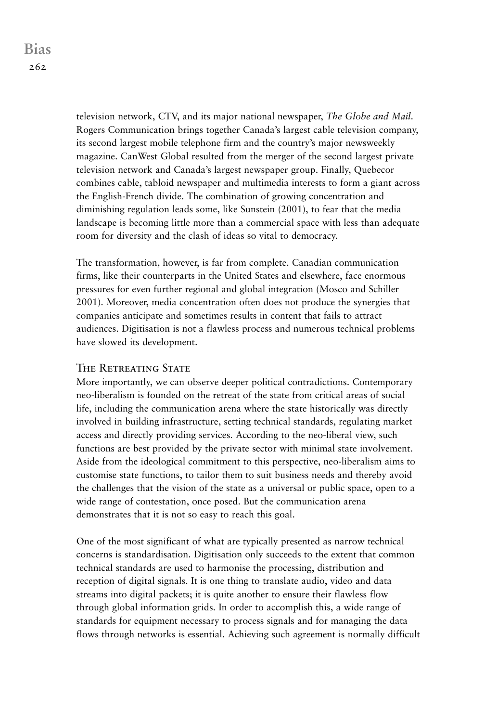television network, CTV, and its major national newspaper, *The Globe and Mail*. Rogers Communication brings together Canada's largest cable television company, its second largest mobile telephone firm and the country's major newsweekly magazine. CanWest Global resulted from the merger of the second largest private television network and Canada's largest newspaper group. Finally, Quebecor combines cable, tabloid newspaper and multimedia interests to form a giant across the English-French divide. The combination of growing concentration and diminishing regulation leads some, like Sunstein (2001), to fear that the media landscape is becoming little more than a commercial space with less than adequate room for diversity and the clash of ideas so vital to democracy.

The transformation, however, is far from complete. Canadian communication firms, like their counterparts in the United States and elsewhere, face enormous pressures for even further regional and global integration (Mosco and Schiller 2001). Moreover, media concentration often does not produce the synergies that companies anticipate and sometimes results in content that fails to attract audiences. Digitisation is not a flawless process and numerous technical problems have slowed its development.

## THE RETREATING STATE

More importantly, we can observe deeper political contradictions. Contemporary neo-liberalism is founded on the retreat of the state from critical areas of social life, including the communication arena where the state historically was directly involved in building infrastructure, setting technical standards, regulating market access and directly providing services. According to the neo-liberal view, such functions are best provided by the private sector with minimal state involvement. Aside from the ideological commitment to this perspective, neo-liberalism aims to customise state functions, to tailor them to suit business needs and thereby avoid the challenges that the vision of the state as a universal or public space, open to a wide range of contestation, once posed. But the communication arena demonstrates that it is not so easy to reach this goal.

One of the most significant of what are typically presented as narrow technical concerns is standardisation. Digitisation only succeeds to the extent that common technical standards are used to harmonise the processing, distribution and reception of digital signals. It is one thing to translate audio, video and data streams into digital packets; it is quite another to ensure their flawless flow through global information grids. In order to accomplish this, a wide range of standards for equipment necessary to process signals and for managing the data flows through networks is essential. Achieving such agreement is normally difficult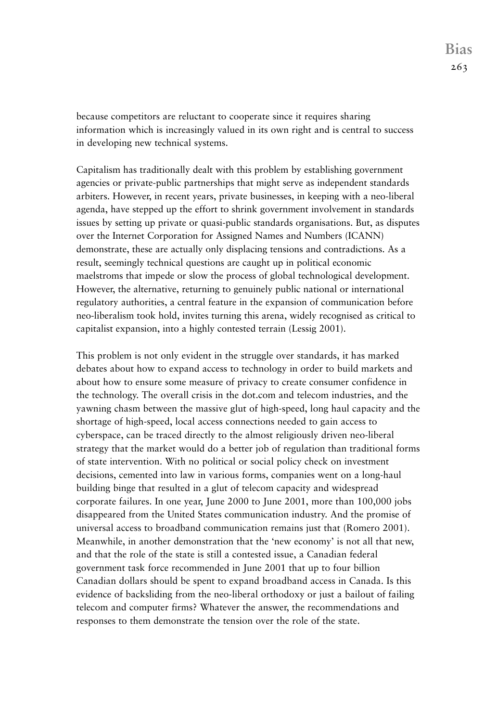because competitors are reluctant to cooperate since it requires sharing information which is increasingly valued in its own right and is central to success in developing new technical systems.

Capitalism has traditionally dealt with this problem by establishing government agencies or private-public partnerships that might serve as independent standards arbiters. However, in recent years, private businesses, in keeping with a neo-liberal agenda, have stepped up the effort to shrink government involvement in standards issues by setting up private or quasi-public standards organisations. But, as disputes over the Internet Corporation for Assigned Names and Numbers (ICANN) demonstrate, these are actually only displacing tensions and contradictions. As a result, seemingly technical questions are caught up in political economic maelstroms that impede or slow the process of global technological development. However, the alternative, returning to genuinely public national or international regulatory authorities, a central feature in the expansion of communication before neo-liberalism took hold, invites turning this arena, widely recognised as critical to capitalist expansion, into a highly contested terrain (Lessig 2001).

This problem is not only evident in the struggle over standards, it has marked debates about how to expand access to technology in order to build markets and about how to ensure some measure of privacy to create consumer confidence in the technology. The overall crisis in the dot.com and telecom industries, and the yawning chasm between the massive glut of high-speed, long haul capacity and the shortage of high-speed, local access connections needed to gain access to cyberspace, can be traced directly to the almost religiously driven neo-liberal strategy that the market would do a better job of regulation than traditional forms of state intervention. With no political or social policy check on investment decisions, cemented into law in various forms, companies went on a long-haul building binge that resulted in a glut of telecom capacity and widespread corporate failures. In one year, June 2000 to June 2001, more than 100,000 jobs disappeared from the United States communication industry. And the promise of universal access to broadband communication remains just that (Romero 2001). Meanwhile, in another demonstration that the 'new economy' is not all that new, and that the role of the state is still a contested issue, a Canadian federal government task force recommended in June 2001 that up to four billion Canadian dollars should be spent to expand broadband access in Canada. Is this evidence of backsliding from the neo-liberal orthodoxy or just a bailout of failing telecom and computer firms? Whatever the answer, the recommendations and responses to them demonstrate the tension over the role of the state.